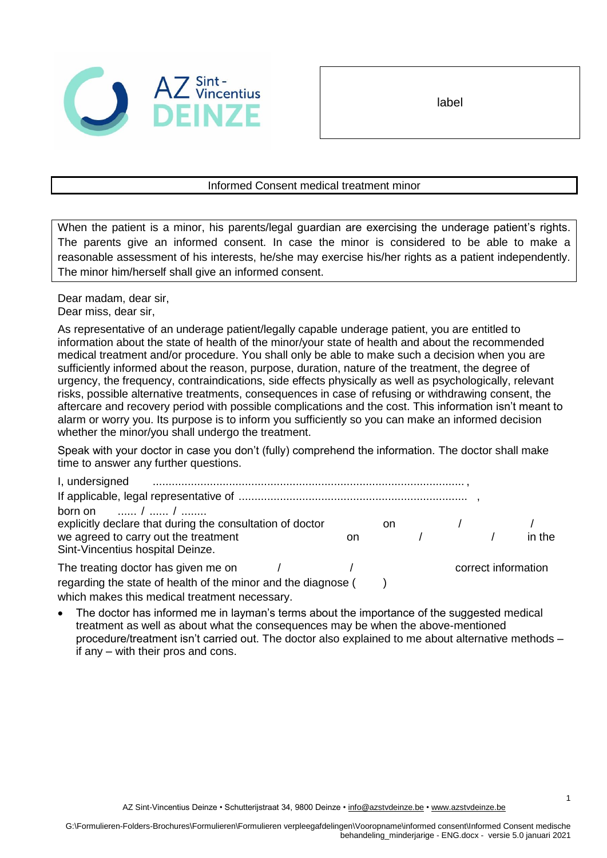

label

## Informed Consent medical treatment minor

When the patient is a minor, his parents/legal guardian are exercising the underage patient's rights. The parents give an informed consent. In case the minor is considered to be able to make a reasonable assessment of his interests, he/she may exercise his/her rights as a patient independently. The minor him/herself shall give an informed consent.

Dear madam, dear sir, Dear miss, dear sir,

As representative of an underage patient/legally capable underage patient, you are entitled to information about the state of health of the minor/your state of health and about the recommended medical treatment and/or procedure. You shall only be able to make such a decision when you are sufficiently informed about the reason, purpose, duration, nature of the treatment, the degree of urgency, the frequency, contraindications, side effects physically as well as psychologically, relevant risks, possible alternative treatments, consequences in case of refusing or withdrawing consent, the aftercare and recovery period with possible complications and the cost. This information isn't meant to alarm or worry you. Its purpose is to inform you sufficiently so you can make an informed decision whether the minor/you shall undergo the treatment.

Speak with your doctor in case you don't (fully) comprehend the information. The doctor shall make time to answer any further questions.

| I, undersigned                                            |  |    |    |            |  |                     |
|-----------------------------------------------------------|--|----|----|------------|--|---------------------|
|                                                           |  |    |    |            |  |                     |
| born on $\frac{1}{2}$ /                                   |  |    |    |            |  |                     |
| explicitly declare that during the consultation of doctor |  |    | on |            |  |                     |
| we agreed to carry out the treatment                      |  | on |    | $\sqrt{1}$ |  | in the              |
| Sint-Vincentius hospital Deinze.                          |  |    |    |            |  |                     |
| The treating doctor has given me on                       |  |    |    |            |  | correct information |
|                                                           |  |    |    |            |  |                     |

regarding the state of health of the minor and the diagnose () which makes this medical treatment necessary.

• The doctor has informed me in layman's terms about the importance of the suggested medical treatment as well as about what the consequences may be when the above-mentioned procedure/treatment isn't carried out. The doctor also explained to me about alternative methods – if any – with their pros and cons.